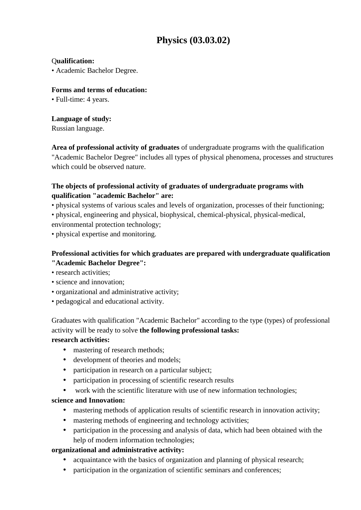# **Physics (03.03.02)**

#### Q**ualification:**

• Academic Bachelor Degree.

#### **Forms and terms of education:**

• Full-time: 4 years.

# **Language of study:**

Russian language.

**Area of professional activity of graduates** of undergraduate programs with the qualification "Academic Bachelor Degree" includes all types of physical phenomena, processes and structures which could be observed nature.

# **The objects of professional activity of graduates of undergraduate programs with qualification "academic Bachelor" are:**

• physical systems of various scales and levels of organization, processes of their functioning;

• physical, engineering and physical, biophysical, chemical-physical, physical-medical, environmental protection technology;

• physical expertise and monitoring.

# **Professional activities for which graduates are prepared with undergraduate qualification**

# **"Academic Bachelor Degree":**

- research activities:
- science and innovation;
- organizational and administrative activity;
- pedagogical and educational activity.

Graduates with qualification "Academic Bachelor" according to the type (types) of professional activity will be ready to solve **the following professional tasks:**

# **research activities:**

- mastering of research methods;
- development of theories and models;
- participation in research on a particular subject;
- participation in processing of scientific research results
- work with the scientific literature with use of new information technologies;

# **science and Innovation:**

- mastering methods of application results of scientific research in innovation activity;
- mastering methods of engineering and technology activities;
- participation in the processing and analysis of data, which had been obtained with the help of modern information technologies;

# **organizational and administrative activity:**

- acquaintance with the basics of organization and planning of physical research;
- participation in the organization of scientific seminars and conferences;